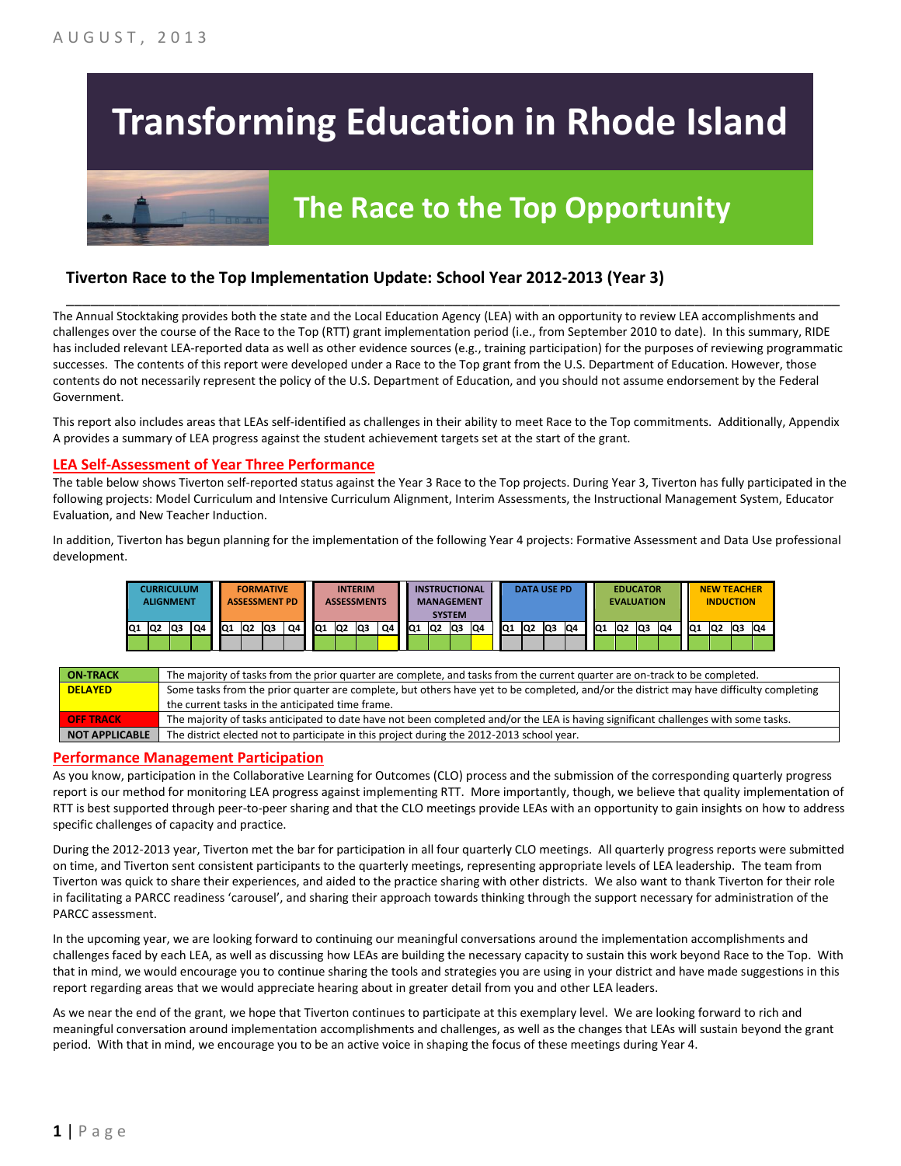# **Transforming Education in Rhode Island**

# **The Race to the Top Opportunity**

### **Tiverton Race to the Top Implementation Update: School Year 2012-2013 (Year 3)**

The Annual Stocktaking provides both the state and the Local Education Agency (LEA) with an opportunity to review LEA accomplishments and challenges over the course of the Race to the Top (RTT) grant implementation period (i.e., from September 2010 to date). In this summary, RIDE has included relevant LEA-reported data as well as other evidence sources (e.g., training participation) for the purposes of reviewing programmatic successes. The contents of this report were developed under a Race to the Top grant from the U.S. Department of Education. However, those contents do not necessarily represent the policy of the U.S. Department of Education, and you should not assume endorsement by the Federal Government.

\_\_\_\_\_\_\_\_\_\_\_\_\_\_\_\_\_\_\_\_\_\_\_\_\_\_\_\_\_\_\_\_\_\_\_\_\_\_\_\_\_\_\_\_\_\_\_\_\_\_\_\_\_\_\_\_\_\_\_\_\_\_\_\_\_\_\_\_\_\_\_\_\_\_\_\_\_\_\_\_\_\_\_\_\_\_\_\_\_\_\_\_\_\_\_\_

This report also includes areas that LEAs self-identified as challenges in their ability to meet Race to the Top commitments. Additionally, Appendix A provides a summary of LEA progress against the student achievement targets set at the start of the grant.

#### **LEA Self-Assessment of Year Three Performance**

The table below shows Tiverton self-reported status against the Year 3 Race to the Top projects. During Year 3, Tiverton has fully participated in the following projects: Model Curriculum and Intensive Curriculum Alignment, Interim Assessments, the Instructional Management System, Educator Evaluation, and New Teacher Induction.

In addition, Tiverton has begun planning for the implementation of the following Year 4 projects: Formative Assessment and Data Use professional development.

|     | CURRICULUM<br><b>ALIGNMENT</b> |    |    |     |                | <b>FORMATIVE</b><br><b>ASSESSMENT PD</b> |    |           |                | <b>INTERIM</b><br><b>ASSESSMENTS</b> |    |                 | <b>INSTRUCTIONAL</b><br><b>MANAGEMENT</b> | <b>SYSTEM</b> |     |                 | <b>DATA USE PD</b> |    |    |                 | <b>EVALUATION</b> | <b>EDUCATOR</b> |    |     | <b>NEW TEACHER</b><br><b>INDUCTION</b> |    |    |
|-----|--------------------------------|----|----|-----|----------------|------------------------------------------|----|-----------|----------------|--------------------------------------|----|-----------------|-------------------------------------------|---------------|-----|-----------------|--------------------|----|----|-----------------|-------------------|-----------------|----|-----|----------------------------------------|----|----|
| IQ1 | Q2                             | Q3 | Q4 | IQ1 | Q <sub>2</sub> | lQ3                                      | Q4 | <b>Q1</b> | Q <sub>2</sub> | Q3                                   | Q4 | IQ <sub>1</sub> | IQ <sub>2</sub>                           | <b>Q3</b>     | IQ4 | IQ <sub>1</sub> | IQ <sub>2</sub>    | Q3 | Q4 | IQ <sub>1</sub> | Q <sub>2</sub>    | Q3              | Q4 | IQ1 | Q2                                     | Q3 | Q4 |
|     |                                |    |    |     |                |                                          |    |           |                |                                      |    |                 |                                           |               |     |                 |                    |    |    |                 |                   |                 |    |     |                                        |    |    |

| <b>ON-TRACK</b>       | The majority of tasks from the prior quarter are complete, and tasks from the current quarter are on-track to be completed.             |
|-----------------------|-----------------------------------------------------------------------------------------------------------------------------------------|
| <b>DELAYED</b>        | Some tasks from the prior quarter are complete, but others have yet to be completed, and/or the district may have difficulty completing |
|                       | the current tasks in the anticipated time frame.                                                                                        |
| <b>OFF TRACK</b>      | The majority of tasks anticipated to date have not been completed and/or the LEA is having significant challenges with some tasks.      |
| <b>NOT APPLICABLE</b> | The district elected not to participate in this project during the 2012-2013 school year.                                               |

#### **Performance Management Participation**

As you know, participation in the Collaborative Learning for Outcomes (CLO) process and the submission of the corresponding quarterly progress report is our method for monitoring LEA progress against implementing RTT. More importantly, though, we believe that quality implementation of RTT is best supported through peer-to-peer sharing and that the CLO meetings provide LEAs with an opportunity to gain insights on how to address specific challenges of capacity and practice.

During the 2012-2013 year, Tiverton met the bar for participation in all four quarterly CLO meetings. All quarterly progress reports were submitted on time, and Tiverton sent consistent participants to the quarterly meetings, representing appropriate levels of LEA leadership. The team from Tiverton was quick to share their experiences, and aided to the practice sharing with other districts. We also want to thank Tiverton for their role in facilitating a PARCC readiness 'carousel', and sharing their approach towards thinking through the support necessary for administration of the PARCC assessment.

In the upcoming year, we are looking forward to continuing our meaningful conversations around the implementation accomplishments and challenges faced by each LEA, as well as discussing how LEAs are building the necessary capacity to sustain this work beyond Race to the Top. With that in mind, we would encourage you to continue sharing the tools and strategies you are using in your district and have made suggestions in this report regarding areas that we would appreciate hearing about in greater detail from you and other LEA leaders.

As we near the end of the grant, we hope that Tiverton continues to participate at this exemplary level. We are looking forward to rich and meaningful conversation around implementation accomplishments and challenges, as well as the changes that LEAs will sustain beyond the grant period. With that in mind, we encourage you to be an active voice in shaping the focus of these meetings during Year 4.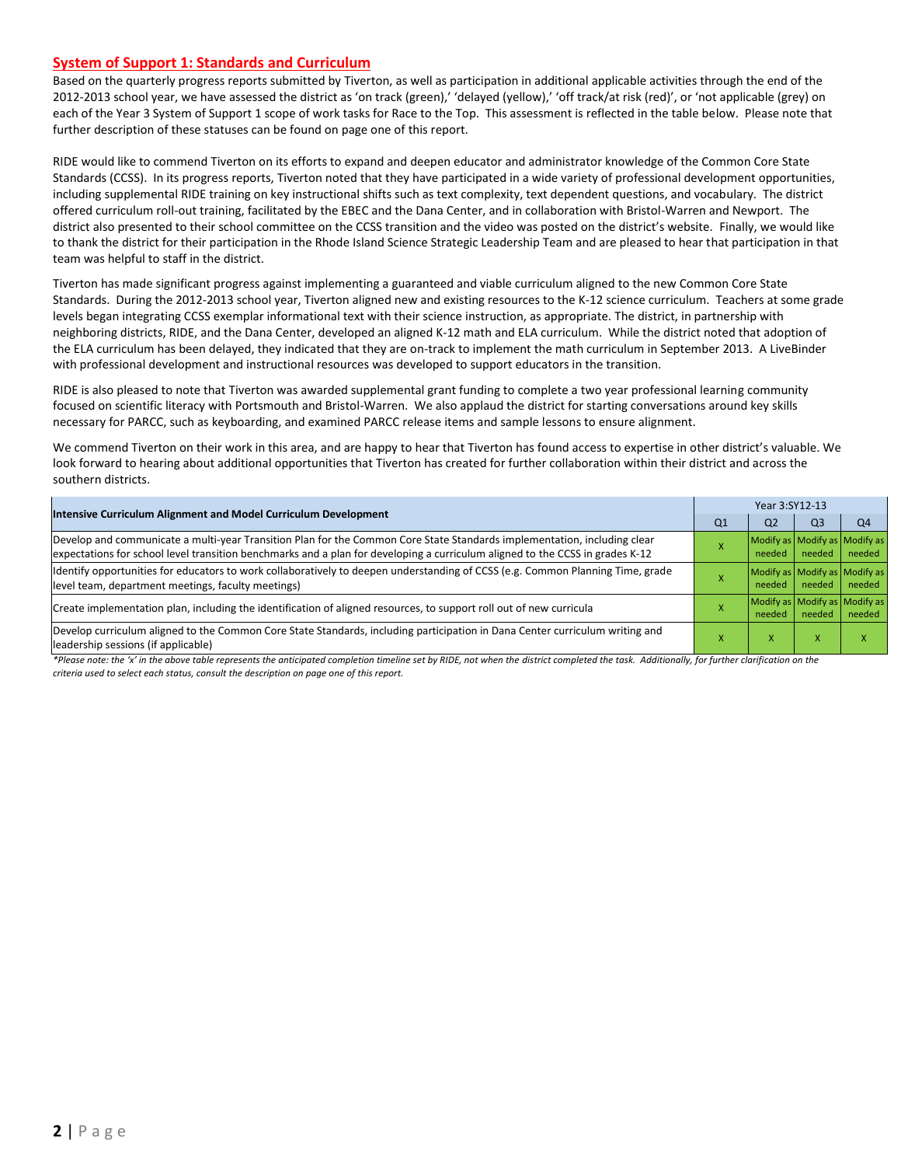#### **System of Support 1: Standards and Curriculum**

Based on the quarterly progress reports submitted by Tiverton, as well as participation in additional applicable activities through the end of the 2012-2013 school year, we have assessed the district as 'on track (green),' 'delayed (yellow),' 'off track/at risk (red)', or 'not applicable (grey) on each of the Year 3 System of Support 1 scope of work tasks for Race to the Top. This assessment is reflected in the table below. Please note that further description of these statuses can be found on page one of this report.

RIDE would like to commend Tiverton on its efforts to expand and deepen educator and administrator knowledge of the Common Core State Standards (CCSS). In its progress reports, Tiverton noted that they have participated in a wide variety of professional development opportunities, including supplemental RIDE training on key instructional shifts such as text complexity, text dependent questions, and vocabulary. The district offered curriculum roll-out training, facilitated by the EBEC and the Dana Center, and in collaboration with Bristol-Warren and Newport. The district also presented to their school committee on the CCSS transition and the video was posted on the district's website. Finally, we would like to thank the district for their participation in the Rhode Island Science Strategic Leadership Team and are pleased to hear that participation in that team was helpful to staff in the district.

Tiverton has made significant progress against implementing a guaranteed and viable curriculum aligned to the new Common Core State Standards. During the 2012-2013 school year, Tiverton aligned new and existing resources to the K-12 science curriculum. Teachers at some grade levels began integrating CCSS exemplar informational text with their science instruction, as appropriate. The district, in partnership with neighboring districts, RIDE, and the Dana Center, developed an aligned K-12 math and ELA curriculum. While the district noted that adoption of the ELA curriculum has been delayed, they indicated that they are on-track to implement the math curriculum in September 2013. A LiveBinder with professional development and instructional resources was developed to support educators in the transition.

RIDE is also pleased to note that Tiverton was awarded supplemental grant funding to complete a two year professional learning community focused on scientific literacy with Portsmouth and Bristol-Warren. We also applaud the district for starting conversations around key skills necessary for PARCC, such as keyboarding, and examined PARCC release items and sample lessons to ensure alignment.

We commend Tiverton on their work in this area, and are happy to hear that Tiverton has found access to expertise in other district's valuable. We look forward to hearing about additional opportunities that Tiverton has created for further collaboration within their district and across the southern districts.

|                                                                                                                                                                                                                                                           | Year 3:SY12-13 |                                         |                                         |                |  |  |  |
|-----------------------------------------------------------------------------------------------------------------------------------------------------------------------------------------------------------------------------------------------------------|----------------|-----------------------------------------|-----------------------------------------|----------------|--|--|--|
| Intensive Curriculum Alignment and Model Curriculum Development                                                                                                                                                                                           | Q <sub>1</sub> | Q <sub>2</sub>                          | Q <sub>3</sub>                          | Q <sub>4</sub> |  |  |  |
| Develop and communicate a multi-year Transition Plan for the Common Core State Standards implementation, including clear<br>expectations for school level transition benchmarks and a plan for developing a curriculum aligned to the CCSS in grades K-12 |                | Modify as Modify as Modify as<br>needed | needed                                  | needed         |  |  |  |
| ldentify opportunities for educators to work collaboratively to deepen understanding of CCSS (e.g. Common Planning Time, grade<br>level team, department meetings, faculty meetings)                                                                      |                | Modify as Modify as Modify as<br>needed | needed                                  | needed         |  |  |  |
| Create implementation plan, including the identification of aligned resources, to support roll out of new curricula                                                                                                                                       |                | needed                                  | Modify as Modify as Modify as<br>needed | needed         |  |  |  |
| Develop curriculum aligned to the Common Core State Standards, including participation in Dana Center curriculum writing and<br>leadership sessions (if applicable)                                                                                       |                | x                                       | $\mathbf{v}$<br>x                       |                |  |  |  |

\*Please note: the 'x' in the above table represents the anticipated completion timeline set by RIDE, not when the district completed the task. Additionally, for further clarification on the *criteria used to select each status, consult the description on page one of this report.*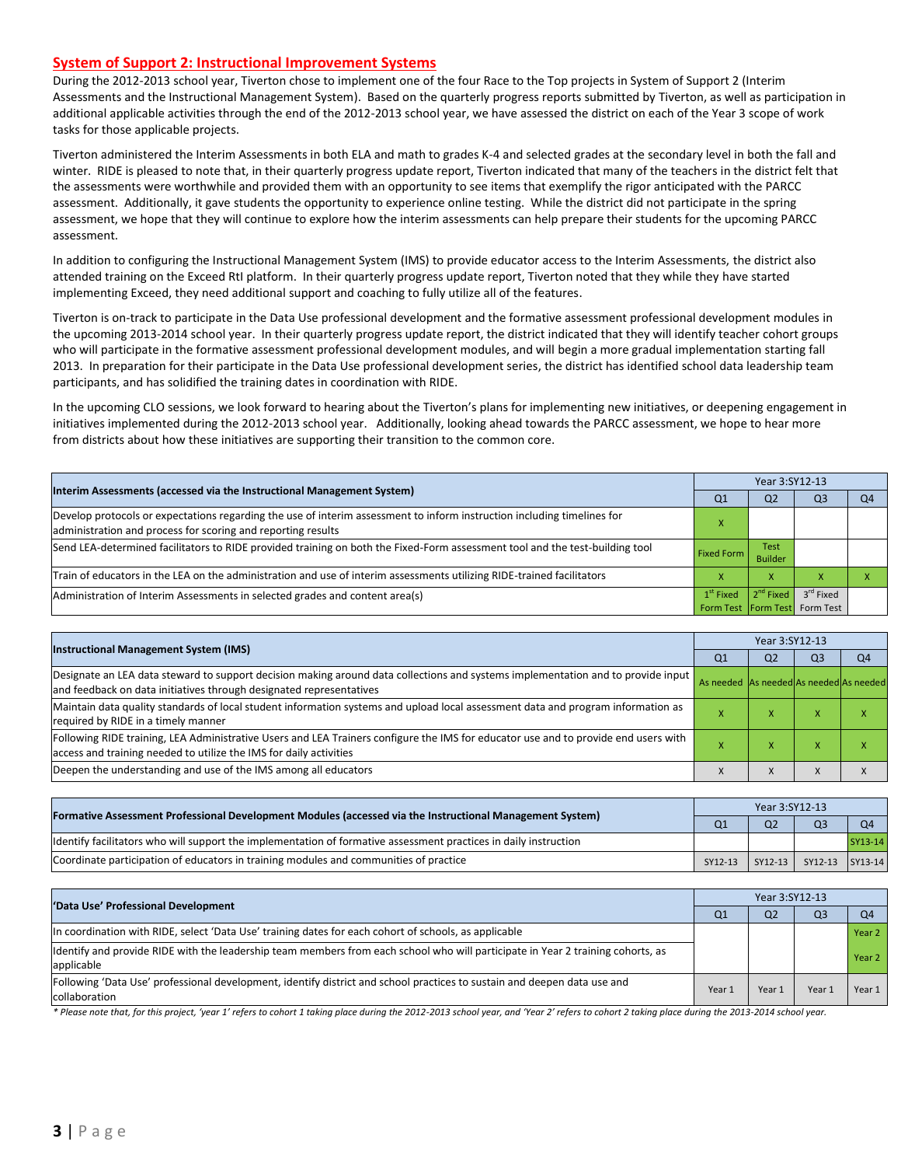#### **System of Support 2: Instructional Improvement Systems**

During the 2012-2013 school year, Tiverton chose to implement one of the four Race to the Top projects in System of Support 2 (Interim Assessments and the Instructional Management System). Based on the quarterly progress reports submitted by Tiverton, as well as participation in additional applicable activities through the end of the 2012-2013 school year, we have assessed the district on each of the Year 3 scope of work tasks for those applicable projects.

Tiverton administered the Interim Assessments in both ELA and math to grades K-4 and selected grades at the secondary level in both the fall and winter. RIDE is pleased to note that, in their quarterly progress update report, Tiverton indicated that many of the teachers in the district felt that the assessments were worthwhile and provided them with an opportunity to see items that exemplify the rigor anticipated with the PARCC assessment. Additionally, it gave students the opportunity to experience online testing. While the district did not participate in the spring assessment, we hope that they will continue to explore how the interim assessments can help prepare their students for the upcoming PARCC assessment.

In addition to configuring the Instructional Management System (IMS) to provide educator access to the Interim Assessments, the district also attended training on the Exceed RtI platform. In their quarterly progress update report, Tiverton noted that they while they have started implementing Exceed, they need additional support and coaching to fully utilize all of the features.

Tiverton is on-track to participate in the Data Use professional development and the formative assessment professional development modules in the upcoming 2013-2014 school year. In their quarterly progress update report, the district indicated that they will identify teacher cohort groups who will participate in the formative assessment professional development modules, and will begin a more gradual implementation starting fall 2013. In preparation for their participate in the Data Use professional development series, the district has identified school data leadership team participants, and has solidified the training dates in coordination with RIDE.

In the upcoming CLO sessions, we look forward to hearing about the Tiverton's plans for implementing new initiatives, or deepening engagement in initiatives implemented during the 2012-2013 school year. Additionally, looking ahead towards the PARCC assessment, we hope to hear more from districts about how these initiatives are supporting their transition to the common core.

| Interim Assessments (accessed via the Instructional Management System)                                                                                                                  | Year 3:SY12-13    |                        |                               |    |  |  |
|-----------------------------------------------------------------------------------------------------------------------------------------------------------------------------------------|-------------------|------------------------|-------------------------------|----|--|--|
|                                                                                                                                                                                         | Q1                | Q <sub>2</sub>         | O <sub>3</sub>                | Q4 |  |  |
| Develop protocols or expectations regarding the use of interim assessment to inform instruction including timelines for<br>administration and process for scoring and reporting results |                   |                        |                               |    |  |  |
| Send LEA-determined facilitators to RIDE provided training on both the Fixed-Form assessment tool and the test-building tool                                                            | <b>Fixed Form</b> | Test<br><b>Builder</b> |                               |    |  |  |
| Train of educators in the LEA on the administration and use of interim assessments utilizing RIDE-trained facilitators                                                                  |                   | X                      |                               |    |  |  |
| Administration of Interim Assessments in selected grades and content area(s)                                                                                                            | $1st$ Fixed       | 2 <sup>nd</sup> Fixed  | 3 <sup>rd</sup> Fixed         |    |  |  |
|                                                                                                                                                                                         |                   |                        | Form Test Form Test Form Test |    |  |  |

| <b>Instructional Management System (IMS)</b>                                                                                                                                                              |                                         | Year 3:SY12-13 |                |                |  |  |  |
|-----------------------------------------------------------------------------------------------------------------------------------------------------------------------------------------------------------|-----------------------------------------|----------------|----------------|----------------|--|--|--|
|                                                                                                                                                                                                           | Q1                                      | Q <sub>2</sub> | Q <sub>3</sub> | Q <sub>4</sub> |  |  |  |
| Designate an LEA data steward to support decision making around data collections and systems implementation and to provide input<br>and feedback on data initiatives through designated representatives   | As needed As needed As needed As needed |                |                |                |  |  |  |
| Maintain data quality standards of local student information systems and upload local assessment data and program information as<br>required by RIDE in a timely manner                                   |                                         | $\lambda$      | ⋏              |                |  |  |  |
| Following RIDE training, LEA Administrative Users and LEA Trainers configure the IMS for educator use and to provide end users with<br>access and training needed to utilize the IMS for daily activities |                                         | x              | A              |                |  |  |  |
| Deepen the understanding and use of the IMS among all educators                                                                                                                                           |                                         |                | X              |                |  |  |  |

| [Formative Assessment Professional Development Modules (accessed via the Instructional Management System)        |                |                | Year 3:SY12-13          |         |  |  |  |
|------------------------------------------------------------------------------------------------------------------|----------------|----------------|-------------------------|---------|--|--|--|
|                                                                                                                  | Q <sub>1</sub> | Q <sub>2</sub> | Q <sub>3</sub>          |         |  |  |  |
| ldentify facilitators who will support the implementation of formative assessment practices in daily instruction |                |                |                         | SY13-14 |  |  |  |
| Coordinate participation of educators in training modules and communities of practice                            | SY12-13        |                | SY12-13 SY12-13 SY13-14 |         |  |  |  |

| 'Data Use' Professional Development                                                                                                           | Year 3:SY12-13 |                |                |        |  |  |
|-----------------------------------------------------------------------------------------------------------------------------------------------|----------------|----------------|----------------|--------|--|--|
|                                                                                                                                               | Q <sub>1</sub> | Q <sub>2</sub> | Q <sub>3</sub> | Q4     |  |  |
| In coordination with RIDE, select 'Data Use' training dates for each cohort of schools, as applicable                                         |                |                |                | Year 2 |  |  |
| Identify and provide RIDE with the leadership team members from each school who will participate in Year 2 training cohorts, as<br>applicable |                |                |                | Year 2 |  |  |
| Following 'Data Use' professional development, identify district and school practices to sustain and deepen data use and<br>collaboration     | Year 1         | Year:          | Year:          | Year 1 |  |  |

\* Please note that, for this project, 'year 1' refers to cohort 1 taking place during the 2012-2013 school year, and 'Year 2' refers to cohort 2 taking place during the 2013-2014 school year.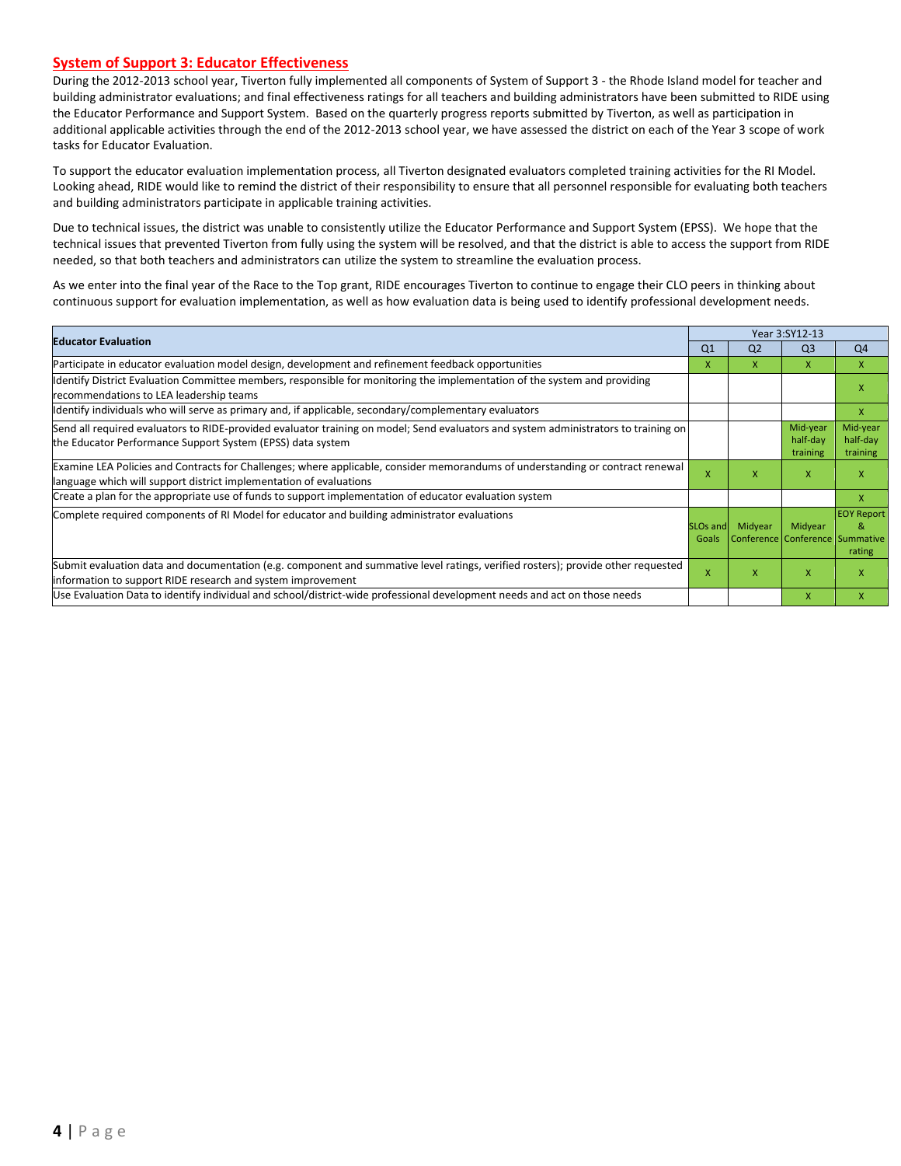#### **System of Support 3: Educator Effectiveness**

During the 2012-2013 school year, Tiverton fully implemented all components of System of Support 3 - the Rhode Island model for teacher and building administrator evaluations; and final effectiveness ratings for all teachers and building administrators have been submitted to RIDE using the Educator Performance and Support System. Based on the quarterly progress reports submitted by Tiverton, as well as participation in additional applicable activities through the end of the 2012-2013 school year, we have assessed the district on each of the Year 3 scope of work tasks for Educator Evaluation.

To support the educator evaluation implementation process, all Tiverton designated evaluators completed training activities for the RI Model. Looking ahead, RIDE would like to remind the district of their responsibility to ensure that all personnel responsible for evaluating both teachers and building administrators participate in applicable training activities.

Due to technical issues, the district was unable to consistently utilize the Educator Performance and Support System (EPSS). We hope that the technical issues that prevented Tiverton from fully using the system will be resolved, and that the district is able to access the support from RIDE needed, so that both teachers and administrators can utilize the system to streamline the evaluation process.

As we enter into the final year of the Race to the Top grant, RIDE encourages Tiverton to continue to engage their CLO peers in thinking about continuous support for evaluation implementation, as well as how evaluation data is being used to identify professional development needs.

| <b>Educator Evaluation</b>                                                                                                                                                                           |                          | Year 3:SY12-13 |                                            |                                  |
|------------------------------------------------------------------------------------------------------------------------------------------------------------------------------------------------------|--------------------------|----------------|--------------------------------------------|----------------------------------|
|                                                                                                                                                                                                      | Q <sub>1</sub>           | Q <sub>2</sub> | Q <sub>3</sub>                             | Q <sub>4</sub>                   |
| Participate in educator evaluation model design, development and refinement feedback opportunities                                                                                                   | x                        | x              | x                                          | X                                |
| Identify District Evaluation Committee members, responsible for monitoring the implementation of the system and providing<br>recommendations to LEA leadership teams                                 |                          |                |                                            | X                                |
| ldentify individuals who will serve as primary and, if applicable, secondary/complementary evaluators                                                                                                |                          |                |                                            | X                                |
| Send all required evaluators to RIDE-provided evaluator training on model; Send evaluators and system administrators to training on<br>the Educator Performance Support System (EPSS) data system    |                          |                | Mid-year<br>half-day<br>training           | Mid-year<br>half-day<br>training |
| Examine LEA Policies and Contracts for Challenges; where applicable, consider memorandums of understanding or contract renewal<br>language which will support district implementation of evaluations |                          | x              | X                                          | X                                |
| Create a plan for the appropriate use of funds to support implementation of educator evaluation system                                                                                               |                          |                |                                            | X                                |
| Complete required components of RI Model for educator and building administrator evaluations                                                                                                         | <b>SLOs and</b><br>Goals | Midyear        | Midyear<br>Conference Conference Summative | <b>EOY Report</b><br>&<br>rating |
| Submit evaluation data and documentation (e.g. component and summative level ratings, verified rosters); provide other requested<br>information to support RIDE research and system improvement      | X                        | x              | X                                          | X                                |
| Use Evaluation Data to identify individual and school/district-wide professional development needs and act on those needs                                                                            |                          |                | X                                          | X                                |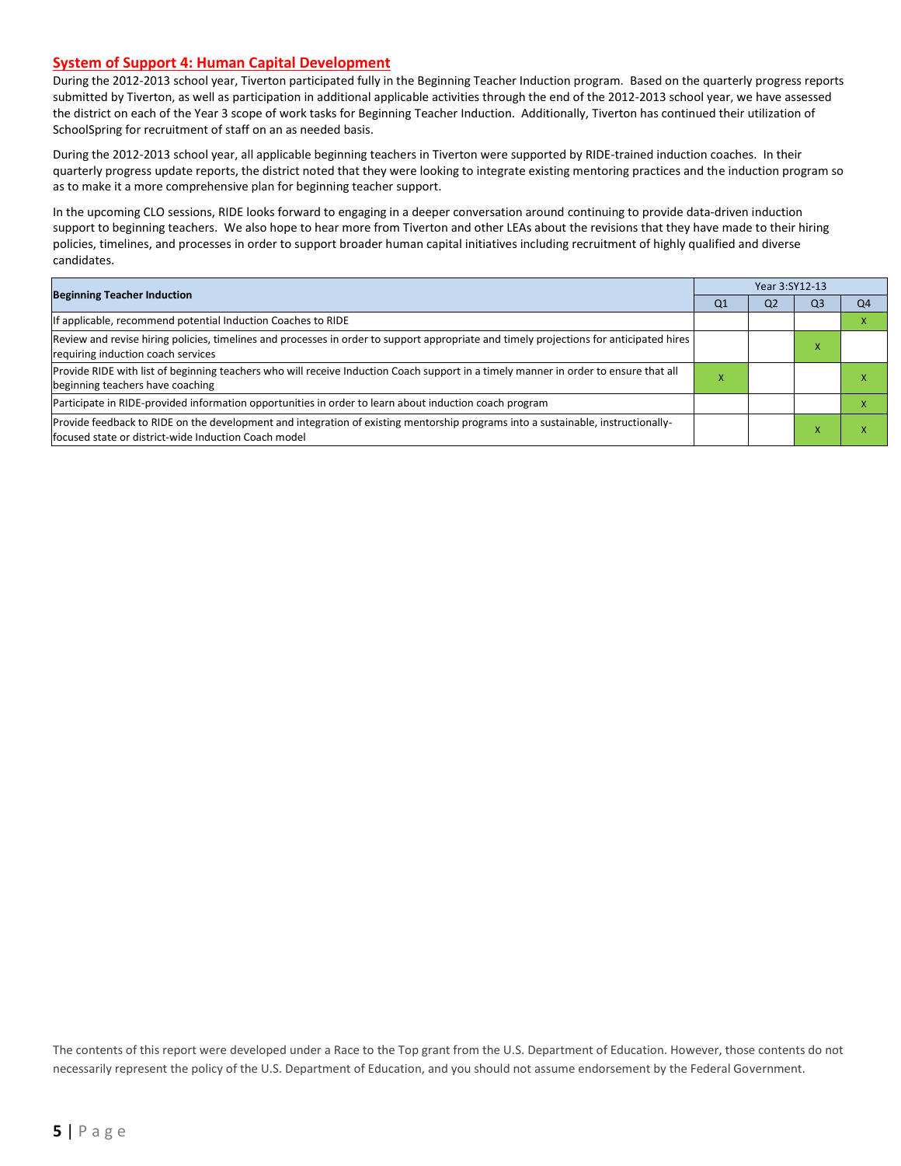#### **System of Support 4: Human Capital Development**

During the 2012-2013 school year, Tiverton participated fully in the Beginning Teacher Induction program. Based on the quarterly progress reports submitted by Tiverton, as well as participation in additional applicable activities through the end of the 2012-2013 school year, we have assessed the district on each of the Year 3 scope of work tasks for Beginning Teacher Induction. Additionally, Tiverton has continued their utilization of SchoolSpring for recruitment of staff on an as needed basis.

During the 2012-2013 school year, all applicable beginning teachers in Tiverton were supported by RIDE-trained induction coaches. In their quarterly progress update reports, the district noted that they were looking to integrate existing mentoring practices and the induction program so as to make it a more comprehensive plan for beginning teacher support.

In the upcoming CLO sessions, RIDE looks forward to engaging in a deeper conversation around continuing to provide data-driven induction support to beginning teachers. We also hope to hear more from Tiverton and other LEAs about the revisions that they have made to their hiring policies, timelines, and processes in order to support broader human capital initiatives including recruitment of highly qualified and diverse candidates.

| <b>Beginning Teacher Induction</b>                                                                                                                                                       |    | Year 3:SY12-13 |                |                |  |  |  |
|------------------------------------------------------------------------------------------------------------------------------------------------------------------------------------------|----|----------------|----------------|----------------|--|--|--|
|                                                                                                                                                                                          | Q1 | Q <sub>2</sub> | Q <sub>3</sub> | Q <sub>4</sub> |  |  |  |
| If applicable, recommend potential Induction Coaches to RIDE                                                                                                                             |    |                |                |                |  |  |  |
| Review and revise hiring policies, timelines and processes in order to support appropriate and timely projections for anticipated hires<br>requiring induction coach services            |    |                |                |                |  |  |  |
| Provide RIDE with list of beginning teachers who will receive Induction Coach support in a timely manner in order to ensure that all<br>beginning teachers have coaching                 | ж  |                |                |                |  |  |  |
| Participate in RIDE-provided information opportunities in order to learn about induction coach program                                                                                   |    |                |                |                |  |  |  |
| Provide feedback to RIDE on the development and integration of existing mentorship programs into a sustainable, instructionally-<br>focused state or district-wide Induction Coach model |    |                |                |                |  |  |  |

The contents of this report were developed under a Race to the Top grant from the U.S. Department of Education. However, those contents do not necessarily represent the policy of the U.S. Department of Education, and you should not assume endorsement by the Federal Government.